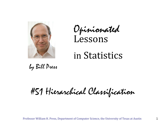

Opinionated Lessons

# in Statistics

by Bill Press

#51 Hierarchical Classification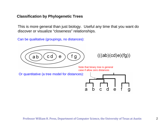### **Classification by Phylogenetic Trees**

This is more general than just biology. Useful any time that you want do discover or visualize "closeness" relationships.

Can be qualitative (groupings, no distances):

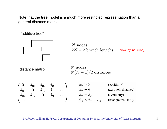Note that the tree model is a much more restricted representation than a general distance matrix.

"additive tree"



 $N$  nodes  $2N-2~{\rm branch~lengths}~~~~$  (prove by induction)

distance matrix

 <sup>N</sup> nodes  $N(N-1)/2$  distances

 $\begin{pmatrix} 0 & d_{01} & d_{02} & d_{03} & \cdots \\ d_{01} & 0 & d_{12} & d_{13} & \cdots \\ d_{02} & d_{12} & 0 & d_{23} & \cdots \\ \cdots & & & & & d_{ij} = d_{ji} & \text{(symmetry)} \\ \cdots & & & & & d_{ik} \leq d_{ij} + d_{jk} & \text{(triangle inequality)} \end{pmatrix}$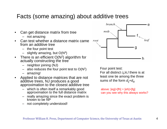## Facts (some amazing) about additive trees

- Can get distance matrix from tree
	- not amazing
- Can test whether a distance matrix came from an additive tree
	- the four point test
	- $-$  slightly amazing, but  $O(N^4)$
- There is an efficient  $O(N^2)$  algorithm for actually constructing the tree
	- neighbor joining (NJ)
	- also reduces the four point test to  $O(N^2)$
	- amazing!
- Applied to distance matrices that are not additive trees, NJ produces a good approximation to the closest additive tree
	- which is often itself a remarkably good approximation to the full distance matrix
	- really amazing since the exact problem is known to be NP
	- not completely understood!



Four point test:

For all distinct *i,j,k,l* there is at least one tie among the three sums of the form  $d_{ii}$ + $d_{kl}$ 

above:  $[eg]+[fh] = [eh]+[fq]$ can you see why this always works?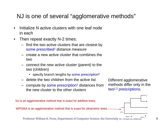## NJ is one of several "agglomerative methods"

- Initialize N active clusters with one leaf node in each
- Then repeat exactly N-2 times:
	- find the two active clusters that are closest by some prescribed<sup>1</sup> distance measure
	- create a new active cluster that combines the two
	- connect the new active cluster (parent) to the two (children)
		- specify branch lengths by some prescription<sup>2</sup>
	- delete the two children from the active list
	- compute by some prescription<sup>1</sup> distances from the new cluster to the other clusters

Different agglomerative methods differ only in the two1,2 prescriptions.

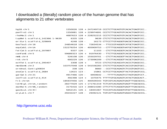## I downloaded a (literally) random piece of the human genome that has alignments to 21 other vertebrates

| $hq18.$ chr1                      |                 |           |  |                                                         |
|-----------------------------------|-----------------|-----------|--|---------------------------------------------------------|
| panTro2.chr1                      | 1550081         | 128       |  | + 229974691 CCCTCTTGCAGTGTCACACTGAGTCCC                 |
| rheMac2.chr1                      | 4687633         | 128       |  | + 228252215 CCCTCTTGCAGTGTCACGCTGAGTCCC                 |
| tupBel 1. scaffold_142366. 1-9639 | 6335 128 -      |           |  | 9639 CTCTCTTGCAGTGTCACGCTGAGTCCC                        |
| eri Eur1. scaffold_329849         | 4248 128 -      |           |  | 16173 CTTCCTTGTAGGGTGACGCTGAGCCCC                       |
| bosTau3.chr16                     | 24854618        | $126 -$   |  | 72834534 --TTCCCGTAGGGTCATGCTGAGTCCC                    |
| equCab1. chrUn                    |                 |           |  |                                                         |
| fel Cat3. scaffol d_207897        | 9337 126 -      |           |  | 11103 -- CTCTTGCAGGGTCACGCTGAGTCCC                      |
| canFam2.chr5                      | 59689323 126 +  |           |  | 91976430 -- TTCTTGCAGGGTCACGCTGAGTCCC                   |
| $mm8.$ chr4                       | 526108 126 -    |           |  | 155029701 -- CTCTTACAGGGTTACGCTGAGCCCC                  |
| rn4. chr5                         | $600229$ 126 -  |           |  | 173096209 -- CTCTTACAGGGTTACGCTGAGTCCC                  |
| echTel 1. scaffold_295407         | $3308$ 128 +    |           |  | 9723 CTCTCCTGCAGCATCACCCTGAGCCCC                        |
| monDom4.chr2                      |                 |           |  | 103757048  128 + 541556283  CTCTCTTGCAGAGTCACCGTGAGTGCC |
| ornAna1. Contig30834              |                 | 338 126 - |  | 8660 -- CCCTTGCAGAGTCTCCGTGAGTCCC                       |
| anoCar1. scaffold_2684            | 12615 123 -     |           |  | 15861 CCTCCTTGCAGAGTTACTGTGAGTCCG                       |
| gal Gal 3. chr21                  |                 |           |  | 4917466  120 -   6959642   --- TTTTTCAGAGTCCTAGTGAGTCCT |
| xenTro2. scaffold_414             | 492398 124 +    |           |  | 1070475 TTTTTGTGCAGAGTCATACTGAGCACT                     |
| fr2. chrUn                        |                 |           |  |                                                         |
| tetNig1.chrUn_random              | 28277029 125 +  |           |  | 171761319 TCTCATCACAGAGTGAGTTTGGCGCCG                   |
| danRer4.chrNA_random              | 3175416 123     |           |  | + 208014280 CTTCTTCTCAGGGTGAGTTTGACGCCG                 |
| gasAcu1.chrXII                    | $5652141$ 126 + |           |  | 18401067 TCCCATCACAGGGTGTGCTTGGCACCG                    |
| oryLat1.chr7                      | 29242227 128 -  |           |  | 29492121 TGTCATTGCAGAGTGAGCCTGACACCG                    |

#### http://genome.ucsc.edu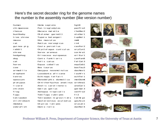## Here's the secret decoder ring for the genome names the number is the assembly number (like version number)

human Homo sapiens hg18 chimpanzee Pan troglodytes panTro2 rhesus Macaca mulatta rheMac2 bushbaby Otolemur garnetti otoGar1 tree shrew Tupaia belangeri tupBel1 mouse Mus musculus mm8rat **Rattus norvegicus** rn4 guinea pig Cavia porcellus cavPor2 rabbit **Oryctolagus cuniculus** oryCun1 shrew Sorex araneus sorAra1 hedgehog Erinaceus europaeus eriEur1 dog Canis familiaris canFam2 cat Felis catus felCat3horse **Equus caballus** equCab1 cow Bos taurus bosTau3armadillo Dasypus novemcinctus dasNov1 elephant Loxodonta africana loxAfr1 tenrec Echinops telfairi echTel1 opossum Monodelphis domestica monDom4 platypus Ornithorhychus anatinus ornAna1 lizard Anolis carolinensis anoCar1chicken Gallus gallus galGal3 frog Xenopus tropicalis xenTro2 fugu Takifugu rubripes fr2 tetraodon Tetraodon nigroviridis tetNig1 stickleback Gasterosteus aculeatus gasAcu1 medaka Oryzias latipes oryLat1 zebrafish Danio rerio danRer4

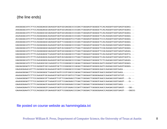#### (the line ends)

AAGGGGCATCTTCCAGGGAGCGAAGGTGGTGCGAGGCCCCGACTGGGAGTGGGGCTCACAGGATGGTGAGTGGAG---AAGGGGCATCTTCCAGGGAGCGAAGGTGGTGCGAGGCCCCGACTGGGAGTGGGGCTCACAGGATGGTGAGTGGAG---AAGGGGCATCTTCCAGGGCGCGAAGGTGGTGCGAGGCCCCGACTGGGAGTGGGGCTCACAGGATGGTGAGTGGAG---AAAGGGCATCTTCCAGGGGGCAAAGGTGGTGCGAGGCCCCGACTGGGAGTGGGGCTCACAGGACGGTGAGTGGGG---ACGGGGCATCTTCCAGGGTGCGAAGGTGGTGCGGGGTCCTGACTGGGAGTGGGGCTCCCAGGATGGTGAGTGGGG---AAGGGGCATCTTCCAGGGGGCGAAGGTGGTTCGGGGCCCCGACTGGGAGTGGGGCTCACAGGATGGTGAGTGGGG---GAGGGGCATCTTCCAGGGGGCAAAGGTGGTACGGGGCCCCGACTGGGAGTGGGGCTCACAGGACGGTGAGTGGGG---GAGGGGCATCTTCCAGGGGGCGAAGGTGGTACGGGGTCCTGACTGGGAGTGGGGCTCGCAGGACGGTGAGTGGGG---GAGGGGCATCTTCCAGGGGGCGAAGGTGGTGCGGGGCCCTGACTGGGAGTGGGGTTCGCAGGATGGTGAGTGAGG---GAGGGGCATCTTTCAAGGAGCTAAGGTGGTACGAGGCCCTGACTGGGAATGGGGCTCACAAGATGGTGAGTGGTG---GAGGGGCATCTTTCAAGGAGCAAAAGTGGTACGAGGCCCTGACTGGGAATGGGGCTCACAAGATGGTGAGTGGTG---GAGGGGCATCTTCCAAGGGGCAAAGGTGGTGCGAGGCCCCGACTGGGAATGGGGCTCTCAAGACGGTGAGTGAGG---GAGGGGCATCTTCCAAGGCGCCAAGGTCCTCCGGGGCCCAGACTGGGAATGGGGCAATCAGGATGGTGAGTGGAG---GAGAGGGATCTTCCAGGGTGCCAAGGTGCTCCGGGGCCCAGACTGGGAGTGGGGCAATCAGGACGGTAAGTGGGG---GAAGGGAACATTTCAGGGCGCAAAAGTGGTCCGGGGCCCCGACTGGGAATGGGGCAACCAAGACGGTAAG--------AAAAGGGACTTTCCAGGGGGCTAAAGTAGTCCGTGGCCCAGACTGGGAATGGGGTAACCAGGATGGTAAG--------AAAAGGAATCTTCCAAGGTGCAAAAGTGGTGCGTGGTCCTGACTGGGAATGGGGAAACCAAGATGGTATGT-------CAAAGGGATTTTCCAGGGCGTTAAAGTTGTTCGAGGACCTGACTGGGACTGGGGTAACCAAGACGGTGAGT---G---AAAGGGGATTTTCCAGGGCGTTAAAGTCGTTCGAGGACCTGACTGGGACTGGGGTAACCAAGACGGTGAGT---G---GAAGGGAATCTTTCAGGGAGTAAAGGTGGTGCGGGGACCCGACTGGGACTGGGGGAACCAGGACGGTGAG--------CAAAGGAATCTTCCAGGGGGTCAAAGTGGTCCGTGGACCCGATTGGGATTGGGGCAACCAAGACGGTGAGT---GG--GAAAGGAATCTTCCAGGGCGTGAAGGTGGTTCGGGGACCCGACTGGGACTGGGGGAACCAGGACGGTGAGT---GGCG

file posted on course website as hammingdata.txt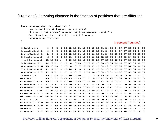(Fractional) Hamming distance is the fraction of positions that are different

```
Doub hamming(char *a, char *b) {
     Int i, neq=0, na=strlen(a), nb=strlen(b);
     if (na != nb) throw("hamming: strings unequal length");
     for (i=0; i < n a; i++) if (a[i] != b[i]) neq++;
     return Doub(neq)/na;
}
```
in percent (rounded)

| 0 hg $18.$ chr $1$ | $\Omega$        | $\Omega$        | $\overline{2}$ |                |               |          |                |                                                    |    |                |  |          |  |                | 6 13 12 13 11 11 15 15 15 21 24 32 34 34 37 35 34 34 32          |          |          |          |                  |  |
|--------------------|-----------------|-----------------|----------------|----------------|---------------|----------|----------------|----------------------------------------------------|----|----------------|--|----------|--|----------------|------------------------------------------------------------------|----------|----------|----------|------------------|--|
| 1 panTro2. chr1    | $\Omega$        | $\Omega$        | $\mathcal{P}$  |                | 6 13 12 13 11 |          |                |                                                    | 11 |                |  |          |  |                | 15 15 15 21 24 32 34 34 37 35 34 34 32                           |          |          |          |                  |  |
| 2 rheMac2.chr1     |                 | $\mathcal{P}$   | $\Omega$       |                |               |          |                |                                                    |    |                |  |          |  |                | 6 13 12 13 11 11 15 16 15 21 24 32 35 35 37 35 36 35 32          |          |          |          |                  |  |
| 3 tupBel 1. scaf   |                 |                 | 6              |                | $0$ 14 11     |          |                |                                                    |    |                |  |          |  |                | 9 10 11 16 16 11 22 23 30 34 33 35 34 32 34 31                   |          |          |          |                  |  |
| 4 eri Eur1. scaf   |                 | 13 13           |                | 13 14          | $\Omega$      | 15       |                |                                                    |    |                |  |          |  |                | 18 13 12 19 21 20 27 25 35 40 31 37 36 32 37 32                  |          |          |          |                  |  |
| 5 bosTau3. chr1    | 12 <sub>1</sub> | 12 <sup>°</sup> |                | 12 11          | 15            | $\Omega$ | 8              | 10 <sup>°</sup>                                    |    |                |  |          |  |                | 9 18 19 18 26 25 34 34 34 37 36 36 37 32                         |          |          |          |                  |  |
| 6 equCab1. chrU    |                 | 13 13 13        |                |                | 9 18          | 8        | $\Omega$       |                                                    |    |                |  |          |  |                | 7 10 15 15 15 24 22 31 33 34 37 37 33 34 31                      |          |          |          |                  |  |
| 7 fel Cat3. scaf   | 11              |                 |                | 11 11 10 13 10 |               |          | $\overline{7}$ | $\Omega$                                           |    |                |  |          |  |                | 7 14 15 15 22 19 33 35 34 37 36 34 34 31                         |          |          |          |                  |  |
| 8 canFam2. chr5    | 11              |                 |                | 11 11 12       |               |          | 9 10           | $\overline{7}$                                     |    |                |  |          |  |                | 0 15 16 16 24 23 32 31 33 37 36 34 37 31                         |          |          |          |                  |  |
| 9 mm8.chr4         |                 |                 |                |                |               |          |                | 15 15 15 16 19 18 15 14 15                         |    | $\overline{0}$ |  |          |  |                | 3 17 23 27 31 34 34 35 34 37 35 35                               |          |          |          |                  |  |
| 10 rn4.chr5        |                 |                 |                |                |               |          |                |                                                    |    |                |  |          |  |                | 15 15 16 16 21 19 15 15 16 3 0 18 22 27 29 33 34 36 35 36 35 37  |          |          |          |                  |  |
| 11 echTel 1. scaf  |                 |                 |                |                |               |          |                |                                                    |    |                |  |          |  |                | 15 15 15 11 20 18 15 15 16 17 18 0 21 24 30 38 33 37 36 34 34 32 |          |          |          |                  |  |
| 12 monDom4.chr2    |                 |                 |                |                |               |          |                | 21 21 22 27 26 24 22 24 23 22 21                   |    |                |  | $\Omega$ |  |                | 15 27 30 35 36 34 34 34 31                                       |          |          |          |                  |  |
| 13 ornAna1. Cont   |                 |                 |                |                |               |          |                | 24 24 24 23 25 25 22 19 23 27 27 24 15             |    |                |  |          |  |                | 0 27 28 36 35 36 34 31 30                                        |          |          |          |                  |  |
| 14 anoCar1.scaf    |                 |                 |                |                |               |          |                |                                                    |    |                |  |          |  |                | 32 32 32 30 35 34 31 33 32 31 29 30 27 27 0 23 28 30 28 25 31 27 |          |          |          |                  |  |
| 15 gal Gal 3. chr2 |                 |                 |                |                |               |          |                | 34 34 35 34 40 34 33 35 31 34 33 38 30 28 23       |    |                |  |          |  | $\overline{O}$ |                                                                  | 28 31 31 |          |          | 32 34 35         |  |
| 16 xenTro2.scaf    |                 |                 |                |                |               |          |                | 34 34 35 33 31 34 34 34 33 34 34 33 35 36 28 28    |    |                |  |          |  |                |                                                                  |          |          |          | 0 34 34 33 35 33 |  |
| 17 fr2.chrUn       |                 |                 |                |                |               |          |                |                                                    |    |                |  |          |  |                | 37 37 37 35 37 37 37 37 37 35 36 37 36 35 30 31 34               | $\Omega$ |          |          | 4 22 16 16       |  |
| 18 tetNig1.chrU    |                 |                 |                |                |               |          |                | 35 35 35 34 36 36 37 36 36 34 35 36 34 36 28 31 34 |    |                |  |          |  |                |                                                                  | 4        | $\Omega$ |          | 21 16 17         |  |
| 19 danRer4. chrN   |                 |                 |                |                |               |          |                |                                                    |    |                |  |          |  |                | 34 34 36 32 32 36 33 34 34 37 36 34 34 34 25 32 33 22 21         |          |          | $\Omega$ | 24 21            |  |
| 20 gasAcu1. chrX   |                 |                 |                |                |               |          |                |                                                    |    |                |  |          |  |                | 34 34 35 34 37 37 34 34 37 35 35 34 34 31 31 34 35 16 16 24      |          |          |          | 0 16             |  |
| 21 oryLat1.chr7    |                 |                 |                |                |               |          |                |                                                    |    |                |  |          |  |                | 32 32 32 31 32 32 31 31 31 35 37 32 31 30 27 35 33 16 17 21 16 0 |          |          |          |                  |  |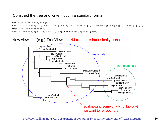## Construct the tree and write it out in a standard format



## Now view it in (e.g.) TreeView NJ trees are intrinsically unrooted!

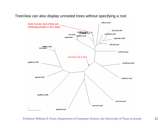#### TreeView can also display unrooted trees without specifying a root

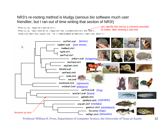## NR3's re-rooting method is kludgy (serious bio software much user friendlier, but I ran out of time writing that section of NR3!)

Phylo\_nj mypretree(dist); Phylo\_nj mytree(dist, mypretree.comancestor(16,  $\overline{18})$ ); newick(mytree,species,"d:\\MyCompStatNotes\\mytree.phy"); you specify the root by a common ancestor of nodes, after viewing a trial tree

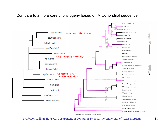#### Compare to a more careful phylogeny based on Mitochondrial sequence



Redrawn from Arnas on, et al. (2002)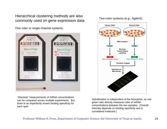Hierarchical clustering methods are also commonly used on gene expression data

One color or single-channel systems:



Two-color systems (e.g., Agilent):



"Absolute" measurements of mRNA concentrations can be compared across multiple experiments. But, there is an imperfectly known binding specificity for each spot.

Hybridization is independent of the fluorophor, so redgreen ratio directly measures ratio of mRNA concentrations between the two samples. (Overall intensity depends on binding specificity and is considered irrelevant.)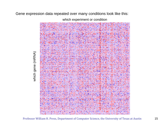#### Gene expression data repeated over many conditions look like this:

which experiment or condition



which gene (mRNA) which gene (mRNA)

Professor William H. Press, Department of Computer Science, the University of Texas at Austin 15